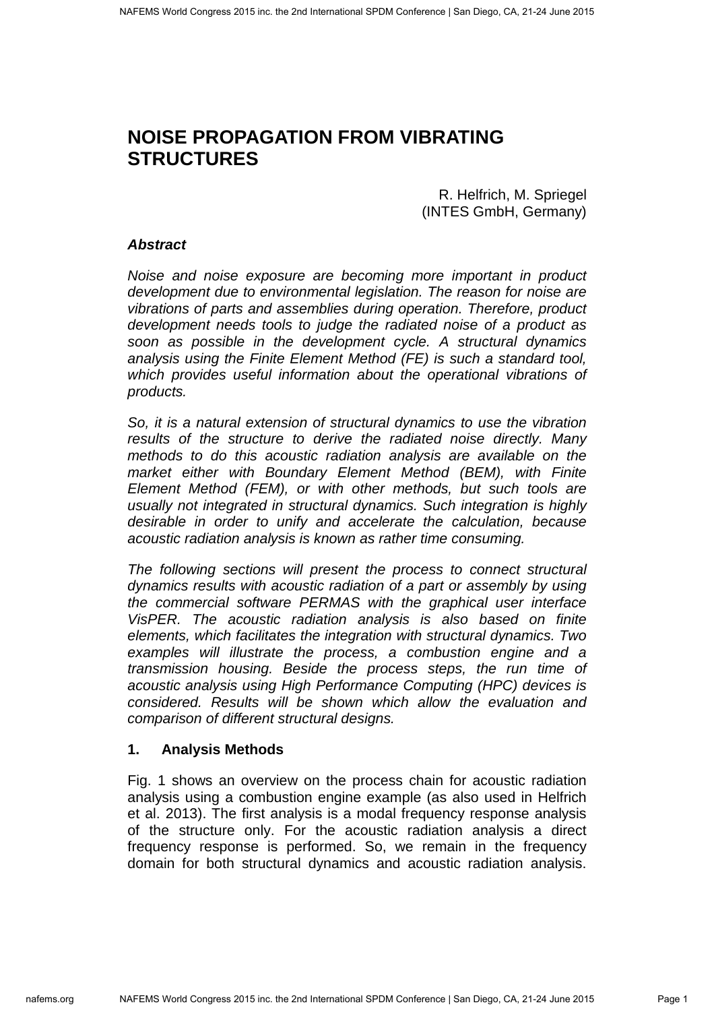# **NOISE PROPAGATION FROM VIBRATING STRUCTURES**

R. Helfrich, M. Spriegel (INTES GmbH, Germany)

## **Abstract**

Noise and noise exposure are becoming more important in product development due to environmental legislation. The reason for noise are vibrations of parts and assemblies during operation. Therefore, product development needs tools to judge the radiated noise of a product as soon as possible in the development cycle. A structural dynamics analysis using the Finite Element Method (FE) is such a standard tool, which provides useful information about the operational vibrations of products.

So, it is a natural extension of structural dynamics to use the vibration results of the structure to derive the radiated noise directly. Many methods to do this acoustic radiation analysis are available on the market either with Boundary Element Method (BEM), with Finite Element Method (FEM), or with other methods, but such tools are usually not integrated in structural dynamics. Such integration is highly desirable in order to unify and accelerate the calculation, because acoustic radiation analysis is known as rather time consuming.

The following sections will present the process to connect structural dynamics results with acoustic radiation of a part or assembly by using the commercial software PERMAS with the graphical user interface VisPER. The acoustic radiation analysis is also based on finite elements, which facilitates the integration with structural dynamics. Two examples will illustrate the process, a combustion engine and a transmission housing. Beside the process steps, the run time of acoustic analysis using High Performance Computing (HPC) devices is considered. Results will be shown which allow the evaluation and comparison of different structural designs.

## **1. Analysis Methods**

Fig. 1 shows an overview on the process chain for acoustic radiation analysis using a combustion engine example (as also used in Helfrich et al. 2013). The first analysis is a modal frequency response analysis of the structure only. For the acoustic radiation analysis a direct frequency response is performed. So, we remain in the frequency domain for both structural dynamics and acoustic radiation analysis.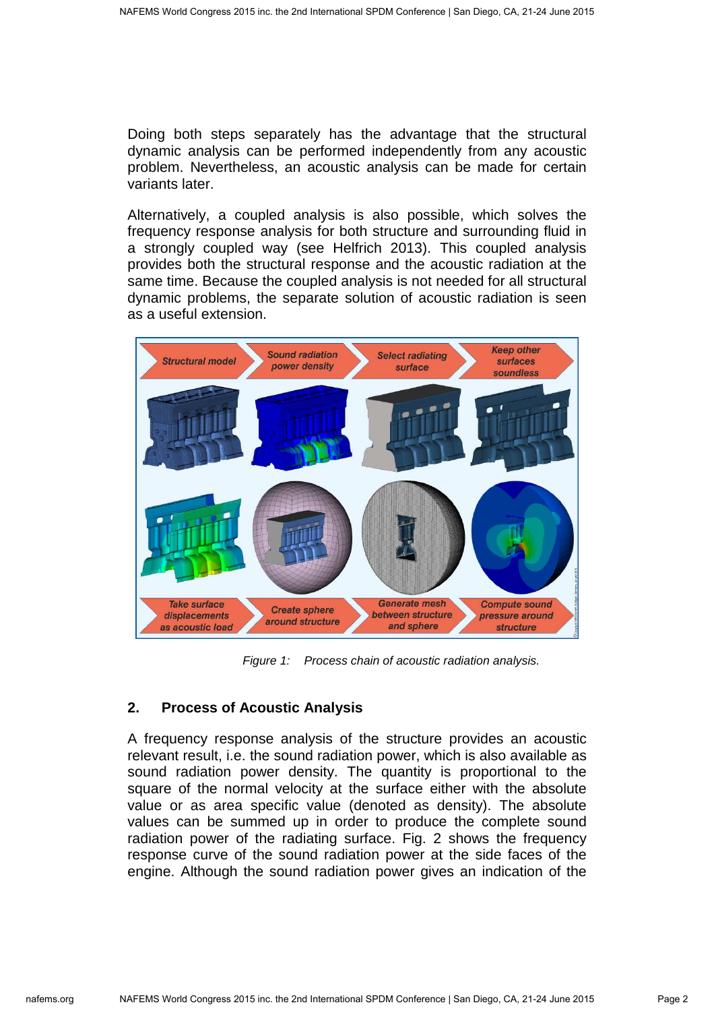Doing both steps separately has the advantage that the structural dynamic analysis can be performed independently from any acoustic problem. Nevertheless, an acoustic analysis can be made for certain variants later.

Alternatively, a coupled analysis is also possible, which solves the frequency response analysis for both structure and surrounding fluid in a strongly coupled way (see Helfrich 2013). This coupled analysis provides both the structural response and the acoustic radiation at the same time. Because the coupled analysis is not needed for all structural dynamic problems, the separate solution of acoustic radiation is seen as a useful extension.



Figure 1: Process chain of acoustic radiation analysis.

# **2. Process of Acoustic Analysis**

A frequency response analysis of the structure provides an acoustic relevant result, i.e. the sound radiation power, which is also available as sound radiation power density. The quantity is proportional to the square of the normal velocity at the surface either with the absolute value or as area specific value (denoted as density). The absolute values can be summed up in order to produce the complete sound radiation power of the radiating surface. Fig. 2 shows the frequency response curve of the sound radiation power at the side faces of the engine. Although the sound radiation power gives an indication of the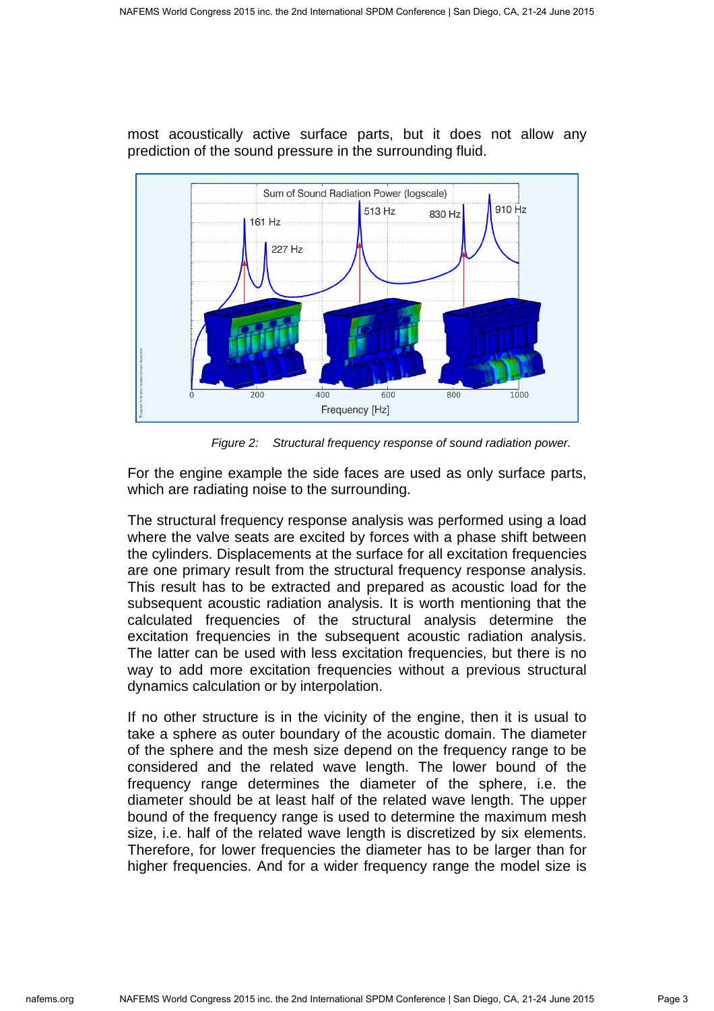



Figure 2: Structural frequency response of sound radiation power.

For the engine example the side faces are used as only surface parts, which are radiating noise to the surrounding.

The structural frequency response analysis was performed using a load where the valve seats are excited by forces with a phase shift between the cylinders. Displacements at the surface for all excitation frequencies are one primary result from the structural frequency response analysis. This result has to be extracted and prepared as acoustic load for the subsequent acoustic radiation analysis. It is worth mentioning that the calculated frequencies of the structural analysis determine the excitation frequencies in the subsequent acoustic radiation analysis. The latter can be used with less excitation frequencies, but there is no way to add more excitation frequencies without a previous structural dynamics calculation or by interpolation.

If no other structure is in the vicinity of the engine, then it is usual to take a sphere as outer boundary of the acoustic domain. The diameter of the sphere and the mesh size depend on the frequency range to be considered and the related wave length. The lower bound of the frequency range determines the diameter of the sphere, i.e. the diameter should be at least half of the related wave length. The upper bound of the frequency range is used to determine the maximum mesh size, i.e. half of the related wave length is discretized by six elements. Therefore, for lower frequencies the diameter has to be larger than for higher frequencies. And for a wider frequency range the model size is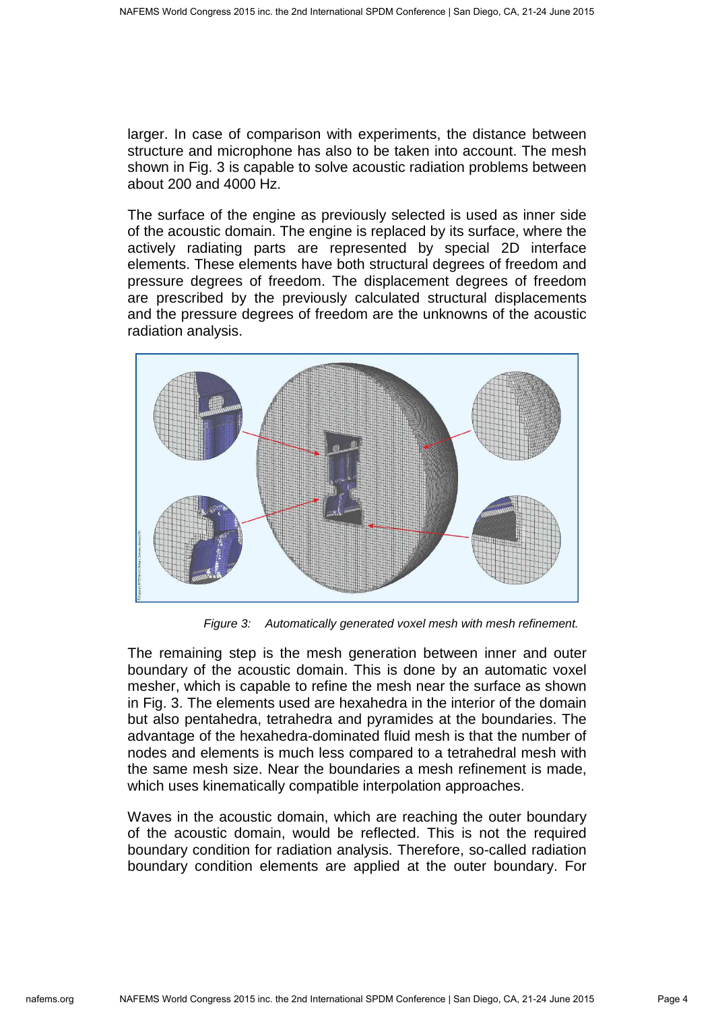larger. In case of comparison with experiments, the distance between structure and microphone has also to be taken into account. The mesh shown in Fig. 3 is capable to solve acoustic radiation problems between about 200 and 4000 Hz.

The surface of the engine as previously selected is used as inner side of the acoustic domain. The engine is replaced by its surface, where the actively radiating parts are represented by special 2D interface elements. These elements have both structural degrees of freedom and pressure degrees of freedom. The displacement degrees of freedom are prescribed by the previously calculated structural displacements and the pressure degrees of freedom are the unknowns of the acoustic radiation analysis.



Figure 3: Automatically generated voxel mesh with mesh refinement.

The remaining step is the mesh generation between inner and outer boundary of the acoustic domain. This is done by an automatic voxel mesher, which is capable to refine the mesh near the surface as shown in Fig. 3. The elements used are hexahedra in the interior of the domain but also pentahedra, tetrahedra and pyramides at the boundaries. The advantage of the hexahedra-dominated fluid mesh is that the number of nodes and elements is much less compared to a tetrahedral mesh with the same mesh size. Near the boundaries a mesh refinement is made, which uses kinematically compatible interpolation approaches.

Waves in the acoustic domain, which are reaching the outer boundary of the acoustic domain, would be reflected. This is not the required boundary condition for radiation analysis. Therefore, so-called radiation boundary condition elements are applied at the outer boundary. For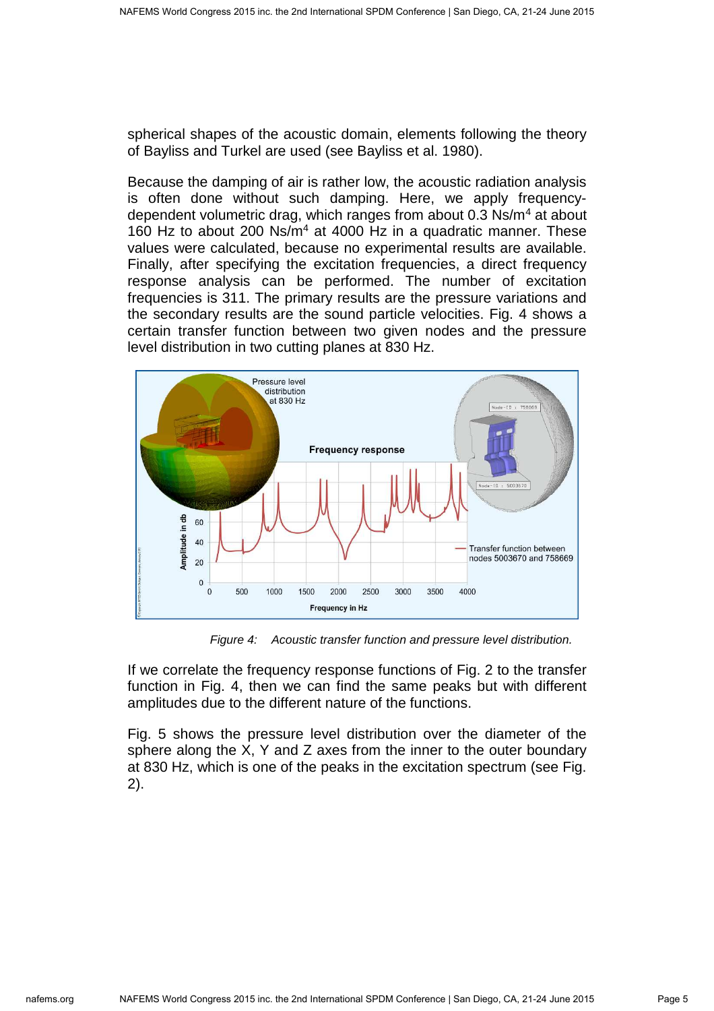spherical shapes of the acoustic domain, elements following the theory of Bayliss and Turkel are used (see Bayliss et al. 1980).

Because the damping of air is rather low, the acoustic radiation analysis is often done without such damping. Here, we apply frequencydependent volumetric drag, which ranges from about 0.3 Ns/m<sup>4</sup> at about 160 Hz to about 200 Ns/m<sup>4</sup> at 4000 Hz in a quadratic manner. These values were calculated, because no experimental results are available. Finally, after specifying the excitation frequencies, a direct frequency response analysis can be performed. The number of excitation frequencies is 311. The primary results are the pressure variations and the secondary results are the sound particle velocities. Fig. 4 shows a certain transfer function between two given nodes and the pressure level distribution in two cutting planes at 830 Hz.



Figure 4: Acoustic transfer function and pressure level distribution.

If we correlate the frequency response functions of Fig. 2 to the transfer function in Fig. 4, then we can find the same peaks but with different amplitudes due to the different nature of the functions.

Fig. 5 shows the pressure level distribution over the diameter of the sphere along the X, Y and Z axes from the inner to the outer boundary at 830 Hz, which is one of the peaks in the excitation spectrum (see Fig. 2).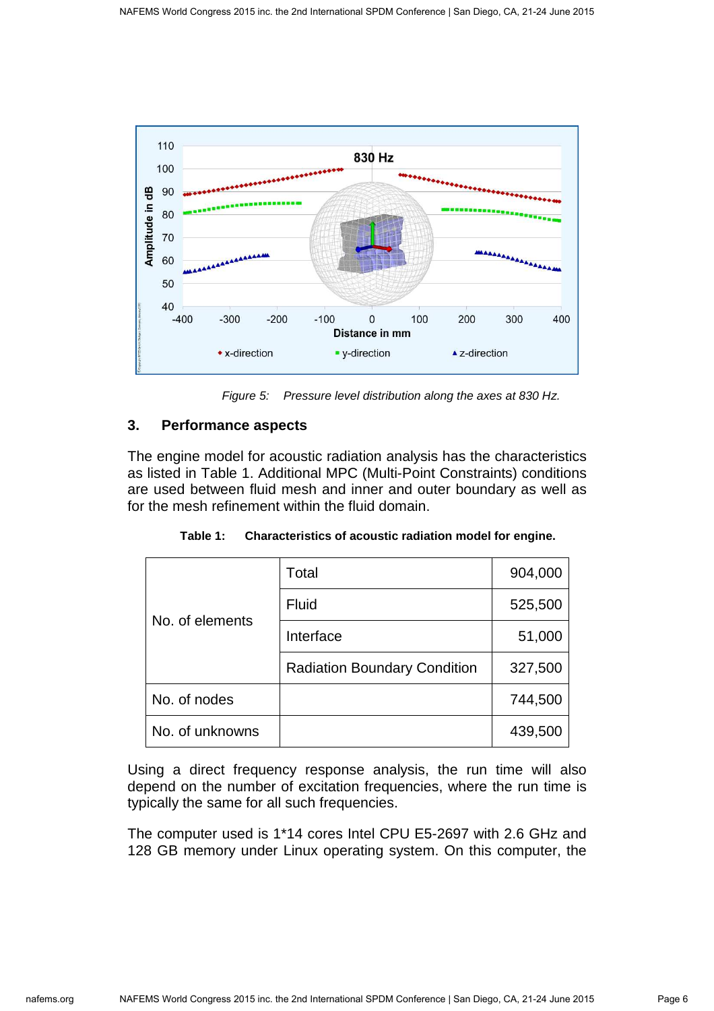

Figure 5: Pressure level distribution along the axes at 830 Hz.

## **3. Performance aspects**

The engine model for acoustic radiation analysis has the characteristics as listed in Table 1. Additional MPC (Multi-Point Constraints) conditions are used between fluid mesh and inner and outer boundary as well as for the mesh refinement within the fluid domain.

| Table 1: |  | Characteristics of acoustic radiation model for engine. |  |
|----------|--|---------------------------------------------------------|--|
|----------|--|---------------------------------------------------------|--|

|                 | Total                               | 904,000 |
|-----------------|-------------------------------------|---------|
| No. of elements | <b>Fluid</b>                        | 525,500 |
|                 | Interface                           | 51,000  |
|                 | <b>Radiation Boundary Condition</b> | 327,500 |
| No. of nodes    |                                     | 744,500 |
| No. of unknowns |                                     | 439,500 |

Using a direct frequency response analysis, the run time will also depend on the number of excitation frequencies, where the run time is typically the same for all such frequencies.

The computer used is 1\*14 cores Intel CPU E5-2697 with 2.6 GHz and 128 GB memory under Linux operating system. On this computer, the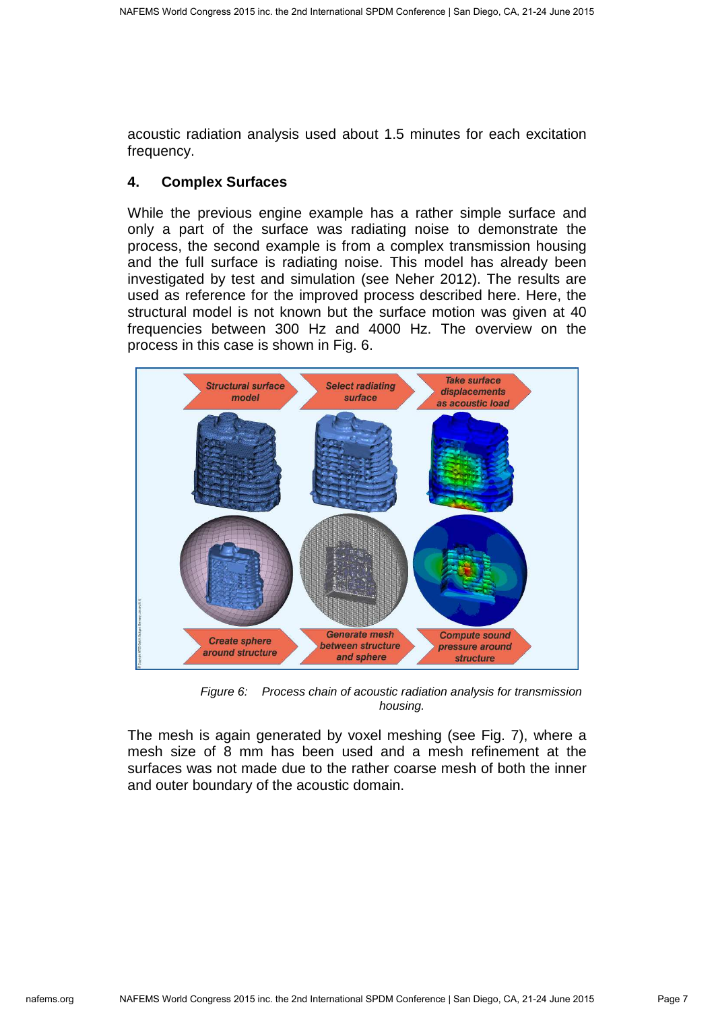acoustic radiation analysis used about 1.5 minutes for each excitation frequency.

## **4. Complex Surfaces**

While the previous engine example has a rather simple surface and only a part of the surface was radiating noise to demonstrate the process, the second example is from a complex transmission housing and the full surface is radiating noise. This model has already been investigated by test and simulation (see Neher 2012). The results are used as reference for the improved process described here. Here, the structural model is not known but the surface motion was given at 40 frequencies between 300 Hz and 4000 Hz. The overview on the process in this case is shown in Fig. 6.



Figure 6: Process chain of acoustic radiation analysis for transmission housing.

The mesh is again generated by voxel meshing (see Fig. 7), where a mesh size of 8 mm has been used and a mesh refinement at the surfaces was not made due to the rather coarse mesh of both the inner and outer boundary of the acoustic domain.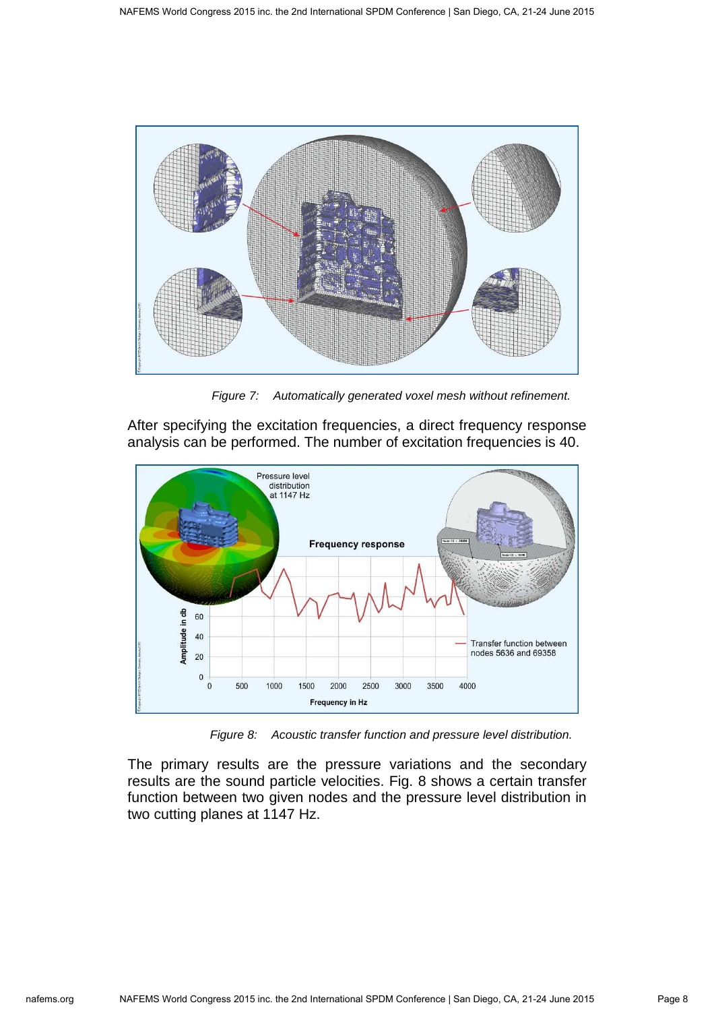

Figure 7: Automatically generated voxel mesh without refinement.

After specifying the excitation frequencies, a direct frequency response analysis can be performed. The number of excitation frequencies is 40.



Figure 8: Acoustic transfer function and pressure level distribution.

The primary results are the pressure variations and the secondary results are the sound particle velocities. Fig. 8 shows a certain transfer function between two given nodes and the pressure level distribution in two cutting planes at 1147 Hz.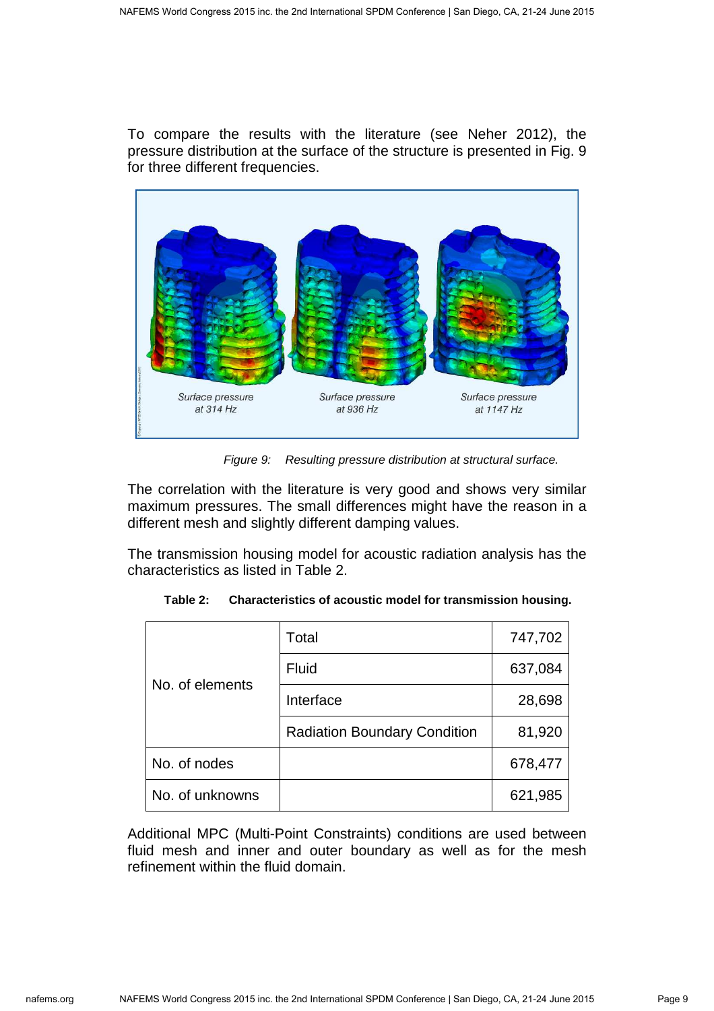To compare the results with the literature (see Neher 2012), the pressure distribution at the surface of the structure is presented in Fig. 9 for three different frequencies.



Figure 9: Resulting pressure distribution at structural surface.

The correlation with the literature is very good and shows very similar maximum pressures. The small differences might have the reason in a different mesh and slightly different damping values.

The transmission housing model for acoustic radiation analysis has the characteristics as listed in Table 2.

|                 | Total                               | 747,702 |
|-----------------|-------------------------------------|---------|
| No. of elements | Fluid                               | 637,084 |
|                 | Interface                           | 28,698  |
|                 | <b>Radiation Boundary Condition</b> | 81,920  |
| No. of nodes    |                                     | 678,477 |
| No. of unknowns |                                     | 621,985 |

| Table 2: | Characteristics of acoustic model for transmission housing. |
|----------|-------------------------------------------------------------|
|----------|-------------------------------------------------------------|

Additional MPC (Multi-Point Constraints) conditions are used between fluid mesh and inner and outer boundary as well as for the mesh refinement within the fluid domain.